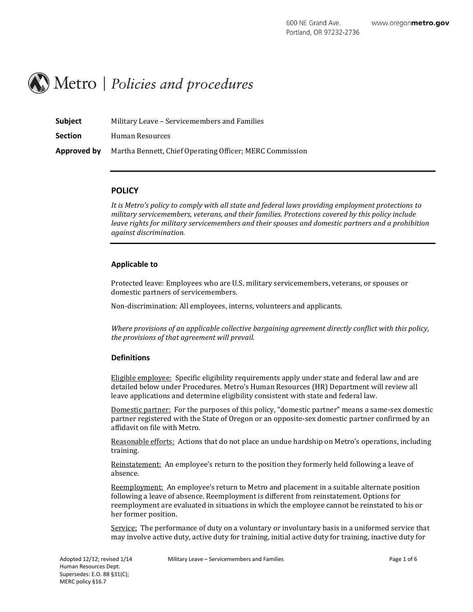# Metro | Policies and procedures

| Subject        | Military Leave – Servicemembers and Families             |
|----------------|----------------------------------------------------------|
| <b>Section</b> | Human Resources                                          |
| Approved by    | Martha Bennett, Chief Operating Officer; MERC Commission |

# **POLICY**

*It is Metro's policy to comply with all state and federal laws providing employment protections to military servicemembers, veterans, and their families. Protections covered by this policy include leave rights for military servicemembers and their spouses and domestic partners and a prohibition against discrimination.*

# **Applicable to**

Protected leave: Employees who are U.S. military servicemembers, veterans, or spouses or domestic partners of servicemembers.

Non-discrimination: All employees, interns, volunteers and applicants.

*Where provisions of an applicable collective bargaining agreement directly conflict with this policy, the provisions of that agreement will prevail.*

# **Definitions**

Eligible employee: Specific eligibility requirements apply under state and federal law and are detailed below under Procedures. Metro's Human Resources (HR) Department will review all leave applications and determine eligibility consistent with state and federal law.

Domestic partner: For the purposes of this policy, "domestic partner" means a same-sex domestic partner registered with the State of Oregon or an opposite-sex domestic partner confirmed by an affidavit on file with Metro.

Reasonable efforts: Actions that do not place an undue hardship on Metro's operations, including training.

Reinstatement: An employee's return to the position they formerly held following a leave of absence.

Reemployment: An employee's return to Metro and placement in a suitable alternate position following a leave of absence. Reemployment is different from reinstatement. Options for reemployment are evaluated in situations in which the employee cannot be reinstated to his or her former position.

Service: The performance of duty on a voluntary or involuntary basis in a uniformed service that may involve active duty, active duty for training, initial active duty for training, inactive duty for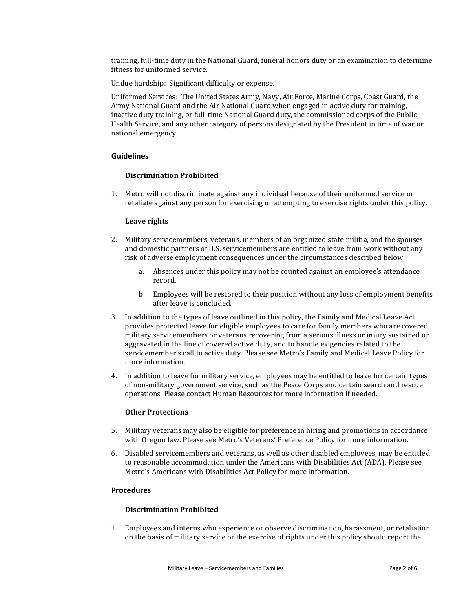training, full-time duty in the National Guard, funeral honors duty or an examination to determine fitness for uniformed service.

Undue hardship: Significant difficulty or expense.

Uniformed Services: The United States Army, Navy, Air Force, Marine Corps, Coast Guard, the Army National Guard and the Air National Guard when engaged in active duty for training, inactive duty training, or full-time National Guard duty, the commissioned corps of the Public Health Service, and any other category of persons designated by the President in time of war or national emergency.

#### **Guidelines**

## **Discrimination Prohibited**

1. Metro will not discriminate against any individual because of their uniformed service or retaliate against any person for exercising or attempting to exercise rights under this policy.

## **Leave rights**

- 2. Military servicemembers, veterans, members of an organized state militia, and the spouses and domestic partners of U.S. servicemembers are entitled to leave from work without any risk of adverse employment consequences under the circumstances described below.
	- a. Absences under this policy may not be counted against an employee's attendance record.
	- b. Employees will be restored to their position without any loss of employment benefits after leave is concluded.
- 3. In addition to the types of leave outlined in this policy, the Family and Medical Leave Act provides protected leave for eligible employees to care for family members who are covered military servicemembers or veterans recovering from a serious illness or injury sustained or aggravated in the line of covered active duty, and to handle exigencies related to the servicemember's call to active duty. Please see Metro's Family and Medical Leave Policy for more information.
- 4. In addition to leave for military service, employees may be entitled to leave for certain types of non-military government service, such as the Peace Corps and certain search and rescue operations. Please contact Human Resources for more information if needed.

# **Other Protections**

- 5. Military veterans may also be eligible for preference in hiring and promotions in accordance with Oregon law. Please see Metro's Veterans' Preference Policy for more information.
- 6. Disabled servicemembers and veterans, as well as other disabled employees, may be entitled to reasonable accommodation under the Americans with Disabilities Act (ADA). Please see Metro's Americans with Disabilities Act Policy for more information.

# **Procedures**

## **Discrimination Prohibited**

1. Employees and interns who experience or observe discrimination, harassment, or retaliation on the basis of military service or the exercise of rights under this policy should report the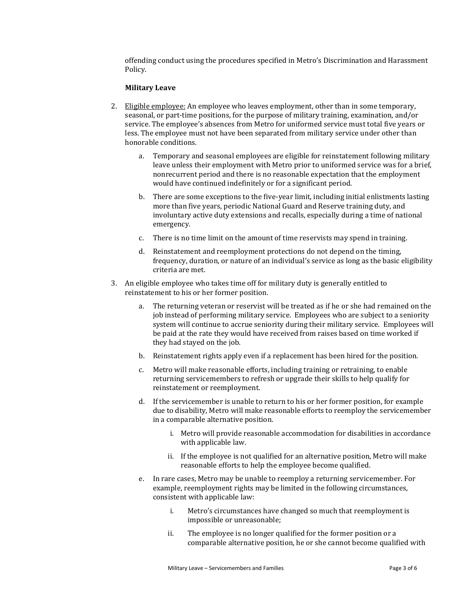offending conduct using the procedures specified in Metro's Discrimination and Harassment Policy.

#### **Military Leave**

- 2. Eligible employee: An employee who leaves employment, other than in some temporary, seasonal, or part-time positions, for the purpose of military training, examination, and/or service. The employee's absences from Metro for uniformed service must total five years or less. The employee must not have been separated from military service under other than honorable conditions.
	- a. Temporary and seasonal employees are eligible for reinstatement following military leave unless their employment with Metro prior to uniformed service was for a brief, nonrecurrent period and there is no reasonable expectation that the employment would have continued indefinitely or for a significant period.
	- b. There are some exceptions to the five-year limit, including initial enlistments lasting more than five years, periodic National Guard and Reserve training duty, and involuntary active duty extensions and recalls, especially during a time of national emergency.
	- c. There is no time limit on the amount of time reservists may spend in training.
	- d. Reinstatement and reemployment protections do not depend on the timing, frequency, duration, or nature of an individual's service as long as the basic eligibility criteria are met.
- 3. An eligible employee who takes time off for military duty is generally entitled to reinstatement to his or her former position.
	- a. The returning veteran or reservist will be treated as if he or she had remained on the job instead of performing military service. Employees who are subject to a seniority system will continue to accrue seniority during their military service. Employees will be paid at the rate they would have received from raises based on time worked if they had stayed on the job.
	- b. Reinstatement rights apply even if a replacement has been hired for the position.
	- c. Metro will make reasonable efforts, including training or retraining, to enable returning servicemembers to refresh or upgrade their skills to help qualify for reinstatement or reemployment.
	- d. If the servicemember is unable to return to his or her former position, for example due to disability, Metro will make reasonable efforts to reemploy the servicemember in a comparable alternative position.
		- i. Metro will provide reasonable accommodation for disabilities in accordance with applicable law.
		- ii. If the employee is not qualified for an alternative position, Metro will make reasonable efforts to help the employee become qualified.
	- e. In rare cases, Metro may be unable to reemploy a returning servicemember. For example, reemployment rights may be limited in the following circumstances, consistent with applicable law:
		- i. Metro's circumstances have changed so much that reemployment is impossible or unreasonable;
		- ii. The employee is no longer qualified for the former position or a comparable alternative position, he or she cannot become qualified with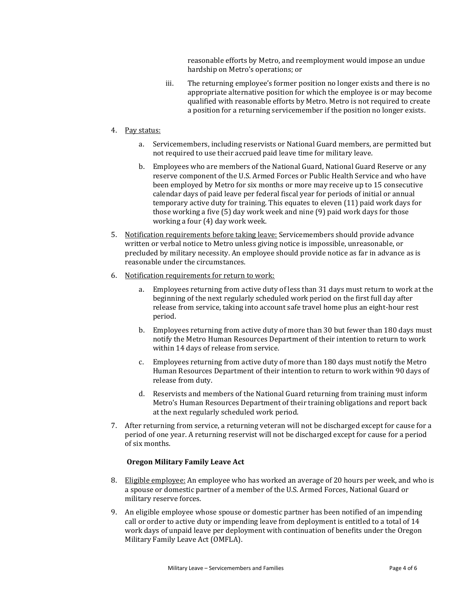reasonable efforts by Metro, and reemployment would impose an undue hardship on Metro's operations; or

iii. The returning employee's former position no longer exists and there is no appropriate alternative position for which the employee is or may become qualified with reasonable efforts by Metro. Metro is not required to create a position for a returning servicemember if the position no longer exists.

## 4. Pay status:

- a. Servicemembers, including reservists or National Guard members, are permitted but not required to use their accrued paid leave time for military leave.
- b. Employees who are members of the National Guard, National Guard Reserve or any reserve component of the U.S. Armed Forces or Public Health Service and who have been employed by Metro for six months or more may receive up to 15 consecutive calendar days of paid leave per federal fiscal year for periods of initial or annual temporary active duty for training. This equates to eleven (11) paid work days for those working a five (5) day work week and nine (9) paid work days for those working a four (4) day work week.
- 5. Notification requirements before taking leave: Servicemembers should provide advance written or verbal notice to Metro unless giving notice is impossible, unreasonable, or precluded by military necessity. An employee should provide notice as far in advance as is reasonable under the circumstances.
- 6. Notification requirements for return to work:
	- Employees returning from active duty of less than 31 days must return to work at the beginning of the next regularly scheduled work period on the first full day after release from service, taking into account safe travel home plus an eight-hour rest period.
	- b. Employees returning from active duty of more than 30 but fewer than 180 days must notify the Metro Human Resources Department of their intention to return to work within 14 days of release from service.
	- c. Employees returning from active duty of more than 180 days must notify the Metro Human Resources Department of their intention to return to work within 90 days of release from duty.
	- d. Reservists and members of the National Guard returning from training must inform Metro's Human Resources Department of their training obligations and report back at the next regularly scheduled work period.
- 7. After returning from service, a returning veteran will not be discharged except for cause for a period of one year. A returning reservist will not be discharged except for cause for a period of six months.

#### **Oregon Military Family Leave Act**

- 8. Eligible employee: An employee who has worked an average of 20 hours per week, and who is a spouse or domestic partner of a member of the U.S. Armed Forces, National Guard or military reserve forces.
- 9. An eligible employee whose spouse or domestic partner has been notified of an impending call or order to active duty or impending leave from deployment is entitled to a total of 14 work days of unpaid leave per deployment with continuation of benefits under the Oregon Military Family Leave Act (OMFLA).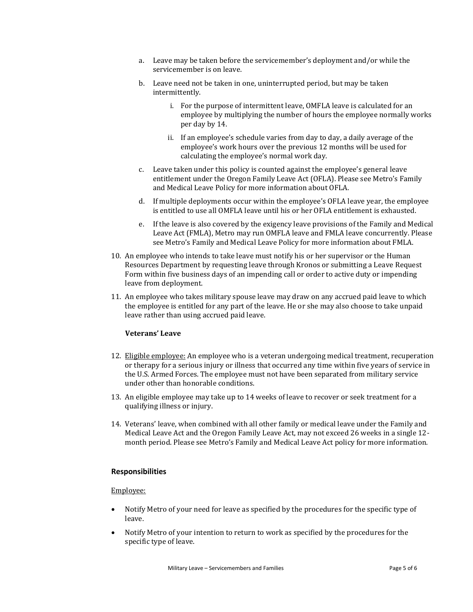- a. Leave may be taken before the servicemember's deployment and/or while the servicemember is on leave.
- b. Leave need not be taken in one, uninterrupted period, but may be taken intermittently.
	- i. For the purpose of intermittent leave, OMFLA leave is calculated for an employee by multiplying the number of hours the employee normally works per day by 14.
	- ii. If an employee's schedule varies from day to day, a daily average of the employee's work hours over the previous 12 months will be used for calculating the employee's normal work day.
- c. Leave taken under this policy is counted against the employee's general leave entitlement under the Oregon Family Leave Act (OFLA). Please see Metro's Family and Medical Leave Policy for more information about OFLA.
- d. If multiple deployments occur within the employee's OFLA leave year, the employee is entitled to use all OMFLA leave until his or her OFLA entitlement is exhausted.
- e. If the leave is also covered by the exigency leave provisions of the Family and Medical Leave Act (FMLA), Metro may run OMFLA leave and FMLA leave concurrently. Please see Metro's Family and Medical Leave Policy for more information about FMLA.
- 10. An employee who intends to take leave must notify his or her supervisor or the Human Resources Department by requesting leave through Kronos or submitting a Leave Request Form within five business days of an impending call or order to active duty or impending leave from deployment.
- 11. An employee who takes military spouse leave may draw on any accrued paid leave to which the employee is entitled for any part of the leave. He or she may also choose to take unpaid leave rather than using accrued paid leave.

# **Veterans' Leave**

- 12. Eligible employee: An employee who is a veteran undergoing medical treatment, recuperation or therapy for a serious injury or illness that occurred any time within five years of service in the U.S. Armed Forces. The employee must not have been separated from military service under other than honorable conditions.
- 13. An eligible employee may take up to 14 weeks of leave to recover or seek treatment for a qualifying illness or injury.
- 14. Veterans' leave, when combined with all other family or medical leave under the Family and Medical Leave Act and the Oregon Family Leave Act, may not exceed 26 weeks in a single 12 month period. Please see Metro's Family and Medical Leave Act policy for more information.

# **Responsibilities**

#### Employee:

- Notify Metro of your need for leave as specified by the procedures for the specific type of leave.
- Notify Metro of your intention to return to work as specified by the procedures for the specific type of leave.